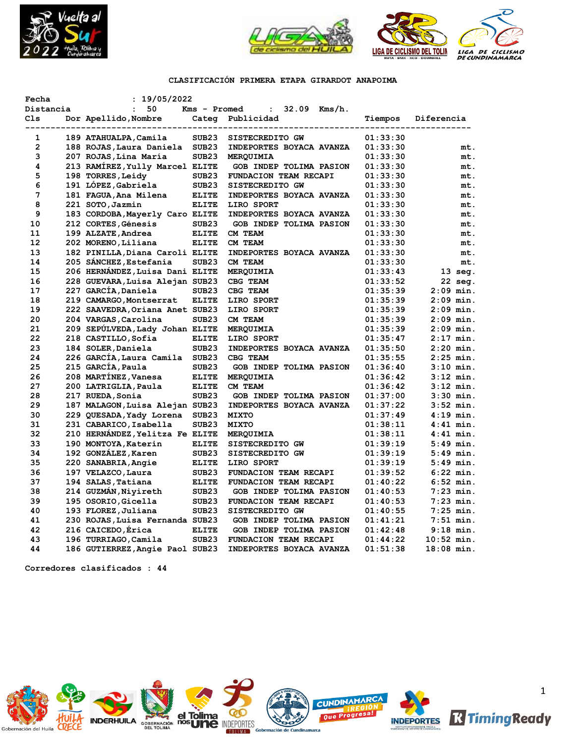



# **CLASIFICACIÓN PRIMERA ETAPA GIRARDOT ANAPOIMA**

| Fecha        | : 19/05/2022                    |                   |                                |          |                   |
|--------------|---------------------------------|-------------------|--------------------------------|----------|-------------------|
| Distancia    | 50<br>$\mathbf{r}$              | Kms - Promed      | $32.09$ Kms/h.<br>$\mathbf{L}$ |          |                   |
| Cls          | Dor Apellido, Nombre            |                   | Categ Publicidad               | Tiempos  | Diferencia        |
|              | ------------------------------  |                   |                                |          |                   |
| 1            | 189 ATAHUALPA, Camila           | SUB23             | SISTECREDITO GW                | 01:33:30 |                   |
| $\mathbf{2}$ | 188 ROJAS, Laura Daniela        | SUB <sub>23</sub> | INDEPORTES BOYACA AVANZA       | 01:33:30 | mt.               |
| 3            | 207 ROJAS, Lina María           | SUB <sub>23</sub> | <b>MERQUIMIA</b>               | 01:33:30 | mt.               |
| 4            | 213 RAMÍREZ, Yully Marcel ELITE |                   | GOB INDEP TOLIMA PASION        | 01:33:30 | mt.               |
| 5            | 198 TORRES, Leidy               | SUB <sub>23</sub> | FUNDACION TEAM RECAPI          | 01:33:30 | mt.               |
| 6            | 191 LÓPEZ, Gabriela             | SUB <sub>23</sub> | SISTECREDITO GW                | 01:33:30 | mt.               |
| 7            | 181 FAGUA, Ana Milena           | <b>ELITE</b>      | INDEPORTES BOYACA AVANZA       | 01:33:30 | mt.               |
| 8            | 221 SOTO, Jazmin                | <b>ELITE</b>      | LIRO SPORT                     | 01:33:30 | mt.               |
| 9            | 183 CORDOBA, Mayerly Caro ELITE |                   | INDEPORTES BOYACA AVANZA       | 01:33:30 | mt.               |
| 10           | 212 CORTES, Génesis             | SUB <sub>23</sub> | GOB INDEP TOLIMA PASION        | 01:33:30 | mt.               |
| 11           | 199 ALZATE, Andrea              | <b>ELITE</b>      | CM TEAM                        | 01:33:30 | mt.               |
| 12           | 202 MORENO, Liliana             | <b>ELITE</b>      | CM TEAM                        | 01:33:30 | mt.               |
| 13           | 182 PINILLA, Diana Caroli ELITE |                   | INDEPORTES BOYACA AVANZA       | 01:33:30 | mt.               |
| 14           | 205 SANCHEZ, Estefania          | SUB <sub>23</sub> | CM TEAM                        | 01:33:30 | mt.               |
| 15           | 206 HERNÁNDEZ, Luisa Dani ELITE |                   | MERQUIMIA                      | 01:33:43 | $13 \text{ seq.}$ |
| 16           | 228 GUEVARA, Luisa Alejan SUB23 |                   | CBG TEAM                       | 01:33:52 | 22 seg.           |
| 17           | 227 GARCÍA, Daniela             | SUB <sub>23</sub> | CBG TEAM                       | 01:35:39 | $2:09$ min.       |
| 18           | 219 CAMARGO, Montserrat         | <b>ELITE</b>      | LIRO SPORT                     | 01:35:39 | $2:09$ min.       |
| 19           | 222 SAAVEDRA, Oriana Anet SUB23 |                   | LIRO SPORT                     | 01:35:39 | $2:09$ min.       |
| 20           | 204 VARGAS, Carolina            | SUB <sub>23</sub> | CM TEAM                        |          | $2:09$ min.       |
|              |                                 |                   |                                | 01:35:39 |                   |
| 21           | 209 SEPÚLVEDA, Lady Johan ELITE |                   | MERQUIMIA                      | 01:35:39 | $2:09$ min.       |
| 22           | 218 CASTILLO, Sofia             | <b>ELITE</b>      | LIRO SPORT                     | 01:35:47 | $2:17$ min.       |
| 23           | 184 SOLER, Daniela              | SUB <sub>23</sub> | INDEPORTES BOYACA AVANZA       | 01:35:50 | $2:20$ min.       |
| 24           | 226 GARCIA, Laura Camila SUB23  |                   | CBG TEAM                       | 01:35:55 | $2:25$ min.       |
| 25           | 215 GARCIA, Paula               | SUB <sub>23</sub> | GOB INDEP TOLIMA PASION        | 01:36:40 | $3:10$ min.       |
| 26           | 208 MARTÍNEZ, Vanesa            | <b>ELITE</b>      | MERQUIMIA                      | 01:36:42 | $3:12$ min.       |
| 27           | 200 LATRIGLIA, Paula            | <b>ELITE</b>      | CM TEAM                        | 01:36:42 | $3:12$ min.       |
| 28           | 217 RUEDA, Sonia                | SUB <sub>23</sub> | GOB INDEP TOLIMA PASION        | 01:37:00 | $3:30$ min.       |
| 29           | 187 MALAGON, Luisa Alejan SUB23 |                   | INDEPORTES BOYACA AVANZA       | 01:37:22 | $3:52$ min.       |
| 30           | 229 QUESADA, Yady Lorena        | SUB <sub>23</sub> | <b>MIXTO</b>                   | 01:37:49 | $4:19$ min.       |
| 31           | 231 CABARICO, Isabella          | SUB <sub>23</sub> | <b>MIXTO</b>                   | 01:38:11 | $4:41$ min.       |
| 32           | 210 HERNANDEZ, Yelitza Fe ELITE |                   | MERQUIMIA                      | 01:38:11 | $4:41$ min.       |
| 33           | 190 MONTOYA, Katerin            | <b>ELITE</b>      | SISTECREDITO GW                | 01:39:19 | $5:49$ min.       |
| 34           | 192 GONZALEZ, Karen             | SUB <sub>23</sub> | SISTECREDITO GW                | 01:39:19 | $5:49$ min.       |
| 35           | 220 SANABRIA, Angie             | <b>ELITE</b>      | LIRO SPORT                     | 01:39:19 | $5:49$ min.       |
| 36           | 197 VELAZCO, Laura              | SUB <sub>23</sub> | FUNDACION TEAM RECAPI          | 01:39:52 | $6:22$ min.       |
| 37           | 194 SALAS, Tatiana              | <b>ELITE</b>      | FUNDACION TEAM RECAPI          | 01:40:22 | $6:52$ min.       |
| 38           | 214 GUZMAN, Niyireth            | SUB <sub>23</sub> | GOB INDEP TOLIMA PASION        | 01:40:53 | $7:23$ min.       |
| 39           | 195 OSORIO, Gicella             | SUB <sub>23</sub> | FUNDACION TEAM RECAPI          | 01:40:53 | $7:23$ min.       |
| 40           | 193 FLOREZ, Juliana             | SUB <sub>23</sub> | SISTECREDITO GW                | 01:40:55 | $7:25$ min.       |
| 41           | 230 ROJAS, Luisa Fernanda SUB23 |                   | GOB INDEP TOLIMA PASION        | 01:41:21 | $7:51$ min.       |
| 42           | 216 CAICEDO, Erica              | <b>ELITE</b>      | GOB INDEP TOLIMA PASION        | 01:42:48 | $9:18$ min.       |
| 43           | 196 TURRIAGO, Camila            | SUB <sub>23</sub> | FUNDACION TEAM RECAPI          | 01:44:22 | $10:52$ min.      |
| 44           | 186 GUTIERREZ, Angie Paol SUB23 |                   | INDEPORTES BOYACA AVANZA       | 01:51:38 | 18:08 min.        |
|              |                                 |                   |                                |          |                   |

**Corredores clasificados : 44**

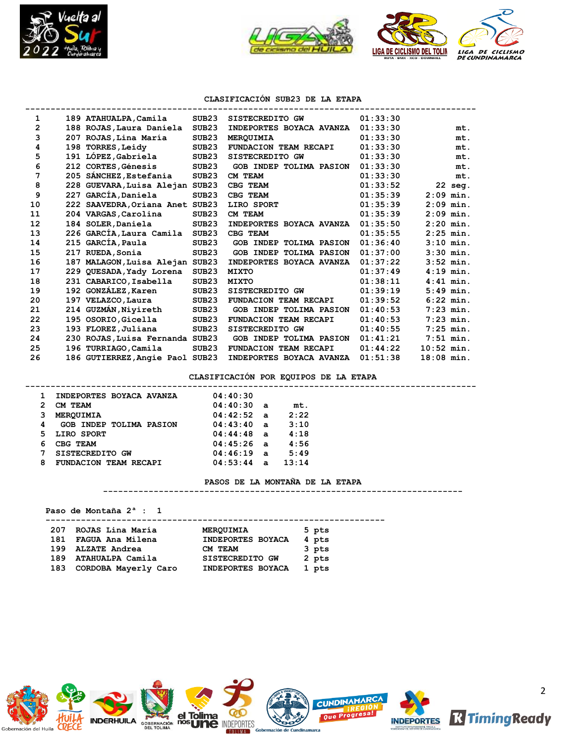



# **CLASIFICACIÓN SUB23 DE LA ETAPA**

| 1  |     | 189 ATAHUALPA, Camila           | SUB <sub>23</sub> | SISTECREDITO GW                | 01:33:30 |              |
|----|-----|---------------------------------|-------------------|--------------------------------|----------|--------------|
| 2  |     | 188 ROJAS, Laura Daniela        | SUB <sub>23</sub> | INDEPORTES BOYACA AVANZA       | 01:33:30 | mt.          |
| 3  |     | 207 ROJAS, Lina María           | SUB <sub>23</sub> | <b>MEROUIMIA</b>               | 01:33:30 | mt.          |
| 4  | 198 | <b>TORRES, Leidy</b>            | SUB <sub>23</sub> | FUNDACION TEAM RECAPI          | 01:33:30 | mt.          |
| 5  |     | 191 LÓPEZ, Gabriela             | SUB <sub>23</sub> | SISTECREDITO GW                | 01:33:30 | mt.          |
| 6  |     | 212 CORTES, Génesis             | SUB <sub>23</sub> | GOB INDEP TOLIMA PASION        | 01:33:30 | mt.          |
| 7  |     | 205 SÁNCHEZ, Estefania          | SUB <sub>23</sub> | CM TEAM                        | 01:33:30 | mt.          |
| 8  |     | 228 GUEVARA, Luisa Alejan SUB23 |                   | CBG TEAM                       | 01:33:52 | 22 seg.      |
| 9  | 227 | GARCÍA, Daniela                 | SUB23             | CBG TEAM                       | 01:35:39 | $2:09$ min.  |
| 10 |     | 222 SAAVEDRA, Oriana Anet SUB23 |                   | LIRO SPORT                     | 01:35:39 | $2:09$ min.  |
| 11 |     | 204 VARGAS, Carolina            | SUB <sub>23</sub> | CM TEAM                        | 01:35:39 | $2:09$ min.  |
| 12 |     | 184 SOLER, Daniela              | SUB <sub>23</sub> | INDEPORTES BOYACA AVANZA       | 01:35:50 | $2:20$ min.  |
| 13 |     | 226 GARCIA, Laura Camila        | SUB <sub>23</sub> | CBG TEAM                       | 01:35:55 | $2:25$ min.  |
| 14 |     | 215 GARCÍA, Paula               | SUB <sub>23</sub> | <b>GOB INDEP TOLIMA PASION</b> | 01:36:40 | $3:10$ min.  |
| 15 |     | 217 RUEDA, Sonia                | SUB <sub>23</sub> | <b>GOB INDEP TOLIMA PASION</b> | 01:37:00 | $3:30$ min.  |
| 16 | 187 | MALAGON, Luisa Alejan SUB23     |                   | INDEPORTES BOYACA AVANZA       | 01:37:22 | $3:52$ min.  |
| 17 |     | 229 QUESADA, Yady Lorena        | SUB <sub>23</sub> | <b>MIXTO</b>                   | 01:37:49 | $4:19$ min.  |
| 18 |     | 231 CABARICO, Isabella          | SUB <sub>23</sub> | <b>MIXTO</b>                   | 01:38:11 | $4:41$ min.  |
| 19 |     | 192 GONZÁLEZ, Karen             | SUB <sub>23</sub> | SISTECREDITO GW                | 01:39:19 | $5:49$ min.  |
| 20 |     | 197 VELAZCO, Laura              | SUB <sub>23</sub> | FUNDACION TEAM RECAPI          | 01:39:52 | $6:22$ min.  |
| 21 |     | 214 GUZMÁN, Niyireth            | SUB <sub>23</sub> | GOB INDEP TOLIMA PASION        | 01:40:53 | $7:23$ min.  |
| 22 |     | 195 OSORIO, Gicella             | SUB <sub>23</sub> | FUNDACION TEAM RECAPI          | 01:40:53 | $7:23$ min.  |
| 23 |     | 193 FLOREZ, Juliana             | SUB <sub>23</sub> | SISTECREDITO GW                | 01:40:55 | $7:25$ min.  |
| 24 |     | 230 ROJAS, Luisa Fernanda SUB23 |                   | <b>GOB INDEP TOLIMA PASION</b> | 01:41:21 | $7:51$ min.  |
| 25 |     | 196 TURRIAGO, Camila            | SUB <sub>23</sub> | FUNDACION TEAM RECAPI          | 01:44:22 | $10:52$ min. |
| 26 |     | 186 GUTIERREZ, Angie Paol SUB23 |                   | INDEPORTES BOYACA AVANZA       | 01:51:38 | $18:08$ min. |

## **CLASIFICACIÓN POR EQUIPOS DE LA ETAPA**

|    | INDEPORTES BOYACA AVANZA       | 04:40:30     |       |  |
|----|--------------------------------|--------------|-------|--|
| 2  | CM TEAM                        | 04:40:30a    | mt.   |  |
| 3  | <b>MERQUIMIA</b>               | $04:42:52$ a | 2:22  |  |
| 4  | <b>GOB INDEP TOLIMA PASION</b> | 04:43:40a    | 3:10  |  |
| 5. | LIRO SPORT                     | $04:44:48$ a | 4:18  |  |
| 6  | CBG TEAM                       | $04:45:26$ a | 4:56  |  |
|    | SISTECREDITO GW                | $04:46:19$ a | 5:49  |  |
| 8  | FUNDACION TEAM RECAPI          | $04:53:44$ a | 13:14 |  |
|    |                                |              |       |  |

#### **PASOS DE LA MONTAÑA DE LA ETAPA**

**-----------------------------------------------------------------------**

## **Paso de Montaña 2ª : 1**

 **-------------------------------------------------------------------**

|     | 207 ROJAS Lina María | MEROUIMIA              | 5 pts |
|-----|----------------------|------------------------|-------|
|     | 181 FAGUA Ana Milena | INDEPORTES BOYACA      | 4 pts |
|     | 199 ALZATE Andrea    | CM TEAM                | 3 pts |
|     | 189 ATAHUALPA Camila | <b>SISTECREDITO GW</b> | 2 pts |
| 183 | CORDOBA Mayerly Caro | INDEPORTES BOYACA      | 1 pts |
|     |                      |                        |       |

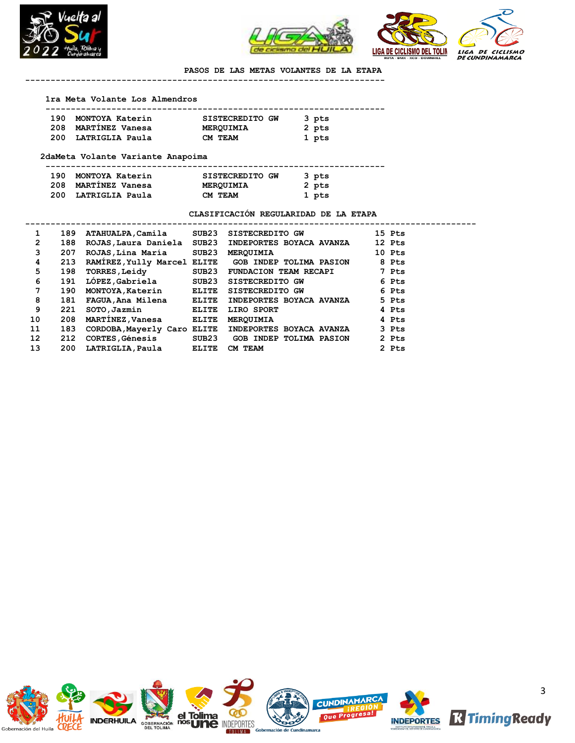



**PASOS DE LAS METAS VOLANTES DE LA ETAPA -----------------------------------------------------------------------**

#### **1ra Meta Volante Los Almendros**

| 190 | MONTOYA Katerin     | SISTECREDITO GW  | 3 pts |  |
|-----|---------------------|------------------|-------|--|
|     | 208 MARTINEZ Vanesa | <b>MERQUIMIA</b> | 2 pts |  |
| 200 | LATRIGLIA Paula     | CM TEAM          | 1 pts |  |

#### **2daMeta Volante Variante Anapoima**

 **-------------------------------------------------------------------**

| 190 MONTOYA Katerin | SISTECREDITO GW | 3 pts |
|---------------------|-----------------|-------|
| 208 MARTÍNEZ Vanesa | MEROUIMIA       | 2 pts |
| 200 LATRIGLIA Paula | CM TEAM         | 1 pts |

### **CLASIFICACIÓN REGULARIDAD DE LA ETAPA**

| 1               | 189 | ATAHUALPA, Camila          | SUB23 | SISTECREDITO GW                                      | 15 Pts |
|-----------------|-----|----------------------------|-------|------------------------------------------------------|--------|
| $\mathbf{2}$    | 188 | ROJAS, Laura Daniela SUB23 |       | INDEPORTES BOYACA AVANZA                             | 12 Pts |
| 3               | 207 | ROJAS, Lina María SUB23    |       | <b>MERQUIMIA</b>                                     | 10 Pts |
| 4               | 213 |                            |       | RAMIREZ, Yully Marcel ELITE GOB INDEP TOLIMA PASION  | 8 Pts  |
| 5               | 198 | <b>TORRES, Leidy</b>       | SUB23 | <b>FUNDACION TEAM RECAPI</b>                         | 7 Pts  |
| 6               | 191 | LÓPEZ, Gabriela            | SUB23 | <b>SISTECREDITO GW</b>                               | 6 Pts  |
| 7               | 190 | MONTOYA, Katerin ELITE     |       | <b>SISTECREDITO GW</b>                               | 6 Pts  |
| 8               | 181 | FAGUA, Ana Milena ELITE    |       | INDEPORTES BOYACA AVANZA                             | 5 Pts  |
| 9               | 221 | SOTO, Jazmin               | ELITE | LIRO SPORT                                           | 4 Pts  |
| 10              | 208 | MARTINEZ, Vanesa ELITE     |       | <b>MEROUIMIA</b>                                     | 4 Pts  |
| 11              | 183 |                            |       | CORDOBA, Mayerly Caro ELITE INDEPORTES BOYACA AVANZA | 3 Pts  |
| 12 <sup>2</sup> | 212 | <b>CORTES, Génesis</b>     |       | SUB23 GOB INDEP TOLIMA PASION                        | 2 Pts  |
| 13              | 200 | LATRIGLIA, Paula           | ELITE | CM TEAM                                              | 2 Pts  |
|                 |     |                            |       |                                                      |        |

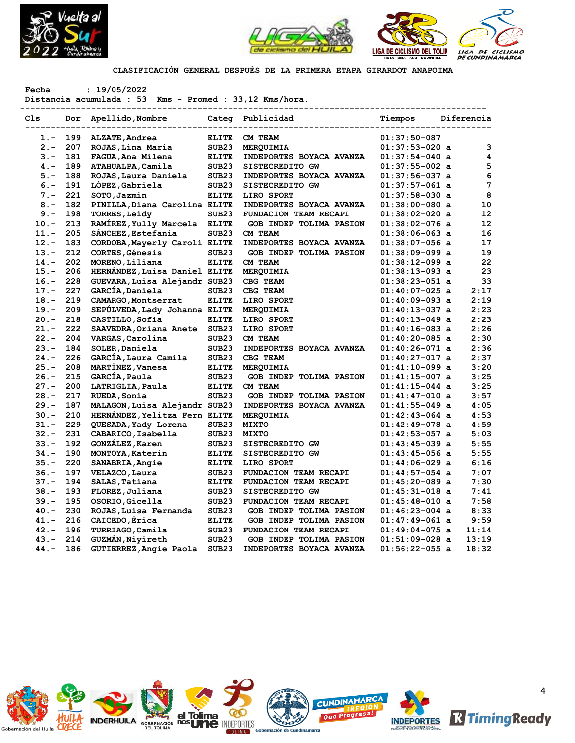



**CLASIFICACIÓN GENERAL DESPUÉS DE LA PRIMERA ETAPA GIRARDOT ANAPOIMA**

**Fecha : 19/05/2022**

**Distancia acumulada : 53 Kms - Promed : 33,12 Kms/hora.**

| Cls     |     | ---------------<br>Dor Apellido, Nombre |                   | Categ Publicidad         | Tiempos          | Diferencia      |
|---------|-----|-----------------------------------------|-------------------|--------------------------|------------------|-----------------|
| $1 -$   | 199 | ALZATE, Andrea                          | <b>ELITE</b>      | CM TEAM                  | $01:37:50-087$   |                 |
| $2 -$   | 207 | ROJAS, Lina María                       | SUB <sub>23</sub> | MERQUIMIA                | $01:37:53-020$ a | $\mathbf 3$     |
| $3 -$   | 181 | FAGUA, Ana Milena                       | <b>ELITE</b>      | INDEPORTES BOYACA AVANZA | $01:37:54-040$ a | 4               |
| $4 -$   | 189 | ATAHUALPA, Camila                       | SUB <sub>23</sub> | SISTECREDITO GW          | $01:37:55-002$ a | 5               |
| $5. -$  | 188 | ROJAS, Laura Daniela                    | SUB <sub>23</sub> | INDEPORTES BOYACA AVANZA | $01:37:56-037$ a | 6               |
| $6. -$  | 191 | LÓPEZ, Gabriela                         | SUB <sub>23</sub> | SISTECREDITO GW          | $01:37:57-061$ a | $7\phantom{.0}$ |
| $7 -$   | 221 | SOTO, Jazmin                            | <b>ELITE</b>      | LIRO SPORT               | $01:37:58-030$ a | 8               |
| $8 -$   | 182 | PINILLA, Diana Carolina ELITE           |                   | INDEPORTES BOYACA AVANZA | $01:38:00-080$ a | 10              |
| $9 -$   | 198 | <b>TORRES, Leidy</b>                    | SUB <sub>23</sub> | FUNDACION TEAM RECAPI    | $01:38:02-020$ a | 12              |
| $10. -$ | 213 | RAMÍREZ, Yully Marcela ELITE            |                   | GOB INDEP TOLIMA PASION  | $01:38:02-076$ a | 12              |
| $11. -$ | 205 | SÁNCHEZ, Estefania                      | SUB <sub>23</sub> | CM TEAM                  | $01:38:06-063$ a | 16              |
| $12 -$  | 183 | CORDOBA, Mayerly Caroli ELITE           |                   | INDEPORTES BOYACA AVANZA | $01:38:07-056$ a | 17              |
| $13. -$ | 212 | <b>CORTES, Génesis</b>                  | SUB23             | GOB INDEP TOLIMA PASION  | $01:38:09-099$ a | 19              |
| $14. -$ | 202 | MORENO, Liliana                         | <b>ELITE</b>      | CM TEAM                  | $01:38:12-099$ a | 22              |
| $15. -$ | 206 | HERNANDEZ, Luisa Daniel ELITE           |                   | MERQUIMIA                | $01:38:13-093$ a | 23              |
| $16. -$ | 228 | GUEVARA, Luisa Alejandr SUB23           |                   | CBG TEAM                 | $01:38:23-051$ a | 33              |
| $17. -$ | 227 | GARCÍA, Daniela                         | SUB <sub>23</sub> | CBG TEAM                 | $01:40:07-025$ a | 2:17            |
| $18. -$ | 219 | CAMARGO, Montserrat                     | <b>ELITE</b>      | LIRO SPORT               | $01:40:09-093$ a | 2:19            |
| $19. -$ | 209 | SEPULVEDA, Lady Johanna ELITE           |                   | MERQUIMIA                | $01:40:13-037$ a | 2:23            |
| $20. -$ | 218 | CASTILLO, Sofia                         | <b>ELITE</b>      | LIRO SPORT               | $01:40:13-049$ a | 2:23            |
| $21. -$ | 222 | SAAVEDRA, Oriana Anete                  | SUB <sub>23</sub> | LIRO SPORT               | $01:40:16-083$ a | 2:26            |
| $22 -$  | 204 | VARGAS, Carolina                        | SUB23             | CM TEAM                  | $01:40:20-085$ a | 2:30            |
| $23 -$  | 184 | SOLER, Daniela                          | SUB23             | INDEPORTES BOYACA AVANZA | $01:40:26-071$ a | 2:36            |
| $24. -$ | 226 | GARCÍA, Laura Camila                    | SUB <sub>23</sub> | CBG TEAM                 | $01:40:27-017$ a | 2:37            |
| $25. -$ | 208 | MARTINEZ, Vanesa                        | <b>ELITE</b>      | MERQUIMIA                | $01:41:10-099$ a | 3:20            |
| $26. -$ | 215 | GARCÍA, Paula                           | SUB <sub>23</sub> | GOB INDEP TOLIMA PASION  | $01:41:15-007$ a | 3:25            |
| $27 -$  | 200 | LATRIGLIA, Paula                        | <b>ELITE</b>      | CM TEAM                  | $01:41:15-044$ a | 3:25            |
| $28 -$  | 217 | RUEDA, Sonia                            | SUB <sub>23</sub> | GOB INDEP TOLIMA PASION  | $01:41:47-010$ a | 3:57            |
| $29. -$ | 187 | MALAGON, Luisa Alejandr SUB23           |                   | INDEPORTES BOYACA AVANZA | $01:41:55-049$ a | 4:05            |
| $30 -$  | 210 | HERNÁNDEZ, Yelitza Fern ELITE           |                   | MERQUIMIA                | $01:42:43-064$ a | 4:53            |
| $31 -$  | 229 | QUESADA, Yady Lorena                    | SUB <sub>23</sub> | <b>MIXTO</b>             | $01:42:49-078$ a | 4:59            |
| $32 -$  | 231 | CABARICO, Isabella                      | SUB <sub>23</sub> | <b>MIXTO</b>             | $01:42:53-057$ a | 5:03            |
| $33 -$  | 192 | GONZÁLEZ, Karen                         | SUB <sub>23</sub> | SISTECREDITO GW          | $01:43:45-039$ a | 5:55            |
| $34. -$ | 190 | MONTOYA, Katerin                        | <b>ELITE</b>      | SISTECREDITO GW          | $01:43:45-056$ a | 5:55            |
| $35. -$ | 220 | SANABRIA, Angie                         | <b>ELITE</b>      | LIRO SPORT               | $01:44:06-029$ a | 6:16            |
| $36. -$ | 197 | VELAZCO, Laura                          | SUB <sub>23</sub> | FUNDACION TEAM RECAPI    | $01:44:57-054$ a | 7:07            |
| $37 -$  | 194 | SALAS, Tatiana                          | <b>ELITE</b>      | FUNDACION TEAM RECAPI    | $01:45:20-089$ a | 7:30            |
| $38 -$  | 193 | FLOREZ, Juliana                         | SUB <sub>23</sub> | SISTECREDITO GW          | $01:45:31-018$ a | 7:41            |
| $39. -$ | 195 | OSORIO, Gicella                         | SUB <sub>23</sub> | FUNDACION TEAM RECAPI    | $01:45:48-010$ a | 7:58            |
| $40. -$ | 230 | ROJAS, Luisa Fernanda                   | SUB <sub>23</sub> | GOB INDEP TOLIMA PASION  | $01:46:23-004$ a | 8:33            |
| $41. -$ | 216 | CAICEDO, Érica                          | <b>ELITE</b>      | GOB INDEP TOLIMA PASION  | $01:47:49-061$ a | 9:59            |
| $42 -$  | 196 | TURRIAGO, Camila                        | SUB <sub>23</sub> | FUNDACION TEAM RECAPI    | $01:49:04-075$ a | 11:14           |
| $43. -$ | 214 | GUZMÁN, Nivireth                        | SUB <sub>23</sub> | GOB INDEP TOLIMA PASION  | $01:51:09-028$ a | 13:19           |
| $44. -$ | 186 | GUTIERREZ, Angie Paola                  | SUB <sub>23</sub> | INDEPORTES BOYACA AVANZA | $01:56:22-055$ a | 18:32           |

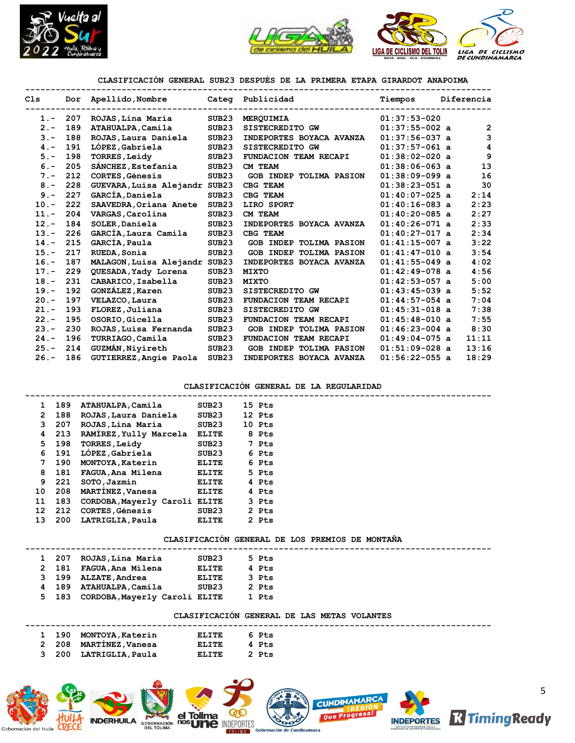



## **CLASIFICACIÓN GENERAL SUB23 DESPUÉS DE LA PRIMERA ETAPA GIRARDOT ANAPOIMA**

| Cls     |     | Dor Apellido, Nombre          |                   | Categ Publicidad             | Tiempos          | Diferencia     |
|---------|-----|-------------------------------|-------------------|------------------------------|------------------|----------------|
| $1 -$   | 207 | ROJAS, Lina María             | SUB23             | MERQUIMIA                    | $01:37:53-020$   |                |
| $2 -$   | 189 | ATAHUALPA, Camila             | SUB <sub>23</sub> | SISTECREDITO GW              | $01:37:55-002$ a | $\overline{2}$ |
| $3 -$   | 188 | ROJAS, Laura Daniela          | SUB23             | INDEPORTES BOYACA AVANZA     | $01:37:56-037$ a | 3              |
| $4 -$   | 191 | LÓPEZ, Gabriela               | SUB <sub>23</sub> | SISTECREDITO GW              | $01:37:57-061$ a | 4              |
| $5. -$  | 198 | <b>TORRES, Leidy</b>          | SUB <sub>23</sub> | <b>FUNDACION TEAM RECAPI</b> | $01:38:02-020$ a | 9              |
| $6 -$   | 205 | SÁNCHEZ, Estefania            | SUB <sub>23</sub> | CM TEAM                      | $01:38:06-063$ a | 13             |
| $7 -$   | 212 | <b>CORTES, Génesis</b>        | SUB <sub>23</sub> | GOB INDEP TOLIMA PASION      | $01:38:09-099$ a | 16             |
| $8 -$   | 228 | GUEVARA, Luisa Alejandr SUB23 |                   | CBG TEAM                     | $01:38:23-051$ a | 30             |
| $9 -$   | 227 | GARCÍA, Daniela               | SUB <sub>23</sub> | CBG TEAM                     | $01:40:07-025$ a | 2:14           |
| $10. -$ | 222 | SAAVEDRA, Oriana Anete        | SUB <sub>23</sub> | LIRO SPORT                   | $01:40:16-083$ a | 2:23           |
| $11. -$ | 204 | VARGAS, Carolina              | SUB23             | CM TEAM                      | $01:40:20-085$ a | 2:27           |
| $12 -$  | 184 | SOLER, Daniela                | SUB <sub>23</sub> | INDEPORTES BOYACA AVANZA     | $01:40:26-071$ a | 2:33           |
| $13. -$ | 226 | GARCÍA, Laura Camila          | SUB <sub>23</sub> | CBG TEAM                     | $01:40:27-017$ a | 2:34           |
| $14. -$ | 215 | GARCÍA, Paula                 | SUB23             | GOB INDEP TOLIMA PASION      | $01:41:15-007$ a | 3:22           |
| $15. -$ | 217 | RUEDA, Sonia                  | SUB <sub>23</sub> | GOB INDEP TOLIMA PASION      | $01:41:47-010$ a | 3:54           |
| $16. -$ | 187 | MALAGON, Luisa Alejandr SUB23 |                   | INDEPORTES BOYACA AVANZA     | $01:41:55-049$ a | 4:02           |
| $17. -$ | 229 | QUESADA, Yady Lorena          | SUB <sub>23</sub> | <b>MIXTO</b>                 | $01:42:49-078$ a | 4:56           |
| $18. -$ | 231 | CABARICO, Isabella            | SUB <sub>23</sub> | <b>MIXTO</b>                 | $01:42:53-057$ a | 5:00           |
| $19. -$ | 192 | GONZÁLEZ, Karen               | SUB <sub>23</sub> | SISTECREDITO GW              | $01:43:45-039$ a | 5:52           |
| $20 -$  | 197 | VELAZCO, Laura                | SUB <sub>23</sub> | FUNDACION TEAM RECAPI        | $01:44:57-054$ a | 7:04           |
| $21 -$  | 193 | FLOREZ, Juliana               | SUB <sub>23</sub> | SISTECREDITO GW              | $01:45:31-018$ a | 7:38           |
| $22 -$  | 195 | OSORIO, Gicella               | SUB <sub>23</sub> | FUNDACION TEAM RECAPI        | $01:45:48-010$ a | 7:55           |
| $23 -$  | 230 | ROJAS, Luisa Fernanda         | SUB <sub>23</sub> | GOB INDEP TOLIMA PASION      | $01:46:23-004$ a | 8:30           |
| $24. -$ | 196 | TURRIAGO, Camila              | SUB <sub>23</sub> | FUNDACION TEAM RECAPI        | $01:49:04-075$ a | 11:11          |
| $25. -$ | 214 | GUZMÁN, Nivireth              | SUB <sub>23</sub> | GOB INDEP TOLIMA PASION      | $01:51:09-028$ a | 13:16          |
| $26. -$ | 186 | GUTIERREZ, Angie Paola        | SUB <sub>23</sub> | INDEPORTES BOYACA AVANZA     | $01:56:22-055$ a | 18:29          |

#### **CLASIFICACIÓN GENERAL DE LA REGULARIDAD**

|                |     | 1 189 ATAHUALPA, Camila       | SUB23        | 15 Pts |  |
|----------------|-----|-------------------------------|--------------|--------|--|
| $\mathbf{2}$   | 188 | ROJAS, Laura Daniela          | SUB23        | 12 Pts |  |
| 3              | 207 | ROJAS, Lina María             | SUB23        | 10 Pts |  |
| $\overline{4}$ | 213 | RAMIREZ, Yully Marcela        | ELITE        | 8 Pts  |  |
| 5              | 198 | <b>TORRES, Leidy</b>          | SUB23        | 7 Pts  |  |
| 6              | 191 | LOPEZ,Gabriela                | SUB23        | 6 Pts  |  |
| $7^{\circ}$    | 190 | MONTOYA, Katerin              | ELITE        | 6 Pts  |  |
| 8              | 181 | FAGUA, Ana Milena             | ELITE        | 5 Pts  |  |
| 9.             | 221 | SOTO, Jazmin                  | ELITE        | 4 Pts  |  |
| 10             | 208 | <b>MARTINEZ, Vanesa</b>       | <b>ELITE</b> | 4 Pts  |  |
| 11             | 183 | CORDOBA, Mayerly Caroli ELITE |              | 3 Pts  |  |
| 12             | 212 | CORTES, Génesis               | SUB23        | 2 Pts  |  |
| 13             | 200 | LATRIGLIA, Paula              | <b>ELITE</b> | 2 Pts  |  |
|                |     |                               |              |        |  |

### **CLASIFICACIÓN GENERAL DE LOS PREMIOS DE MONTAÑA**

|  | 1 207 | ROJAS,Lina María              | SUB23 |  | 5 Pts |  |
|--|-------|-------------------------------|-------|--|-------|--|
|  | 2 181 | FAGUA,Ana Milena              | ELITE |  | 4 Pts |  |
|  | 3 199 | <b>ALZATE, Andrea</b>         | ELITE |  | 3 Pts |  |
|  | 4 189 | ATAHUALPA, Camila             | SUB23 |  | 2 Pts |  |
|  | 5 183 | CORDOBA, Mayerly Caroli ELITE |       |  | 1 Pts |  |

#### **CLASIFICACIÓN GENERAL DE LAS METAS VOLANTES**

|  |       | 1 190 MONTOYA, Katerin | ELITE        | 6 Pts |  |
|--|-------|------------------------|--------------|-------|--|
|  |       |                        |              |       |  |
|  |       | 2 208 MARTINEZ, Vanesa | ELITE        | 4 Pts |  |
|  |       |                        |              |       |  |
|  | 3 200 | LATRIGLIA, Paula       | <b>ELITE</b> | 2 Pts |  |

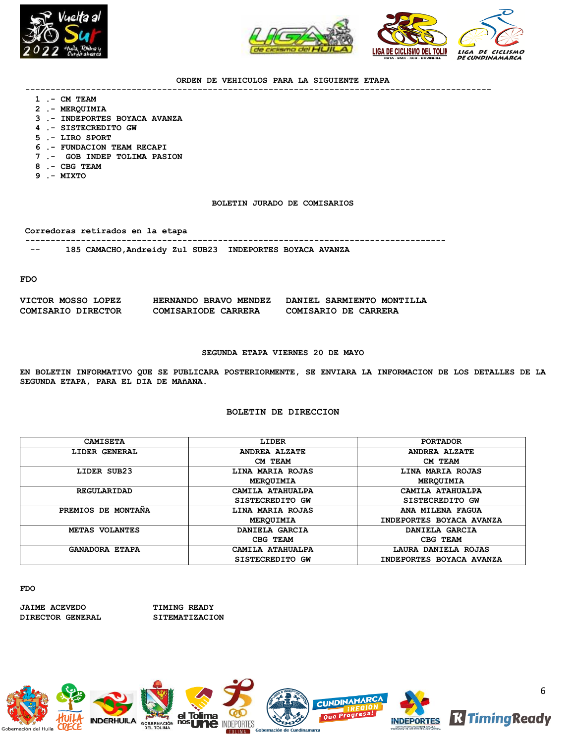



#### **ORDEN DE VEHICULOS PARA LA SIGUIENTE ETAPA**

**--------------------------------------------------------------------------------------------**

- **1 .- CM TEAM**
- **2 .- MERQUIMIA**
- **3 .- INDEPORTES BOYACA AVANZA**
- **4 .- SISTECREDITO GW**
- **5 .- LIRO SPORT**
- **6 .- FUNDACION TEAM RECAPI**
- **7 .- GOB INDEP TOLIMA PASION**
- **8 .- CBG TEAM**
- **9 .- MIXTO**

### **BOLETIN JURADO DE COMISARIOS**

**Corredoras retirados en la etapa**

**-----------------------------------------------------------------------------------**

 **-- 185 CAMACHO,Andreidy Zul SUB23 INDEPORTES BOYACA AVANZA** 

**FDO**

| VICTOR MOSSO LOPEZ | HERNANDO BRAVO MENDEZ | DANIEL SARMIENTO MONTILLA |
|--------------------|-----------------------|---------------------------|
| COMISARIO DIRECTOR | COMISARIODE CARRERA   | COMISARIO DE CARRERA      |

#### **SEGUNDA ETAPA VIERNES 20 DE MAYO**

**EN BOLETIN INFORMATIVO QUE SE PUBLICARA POSTERIORMENTE, SE ENVIARA LA INFORMACION DE LOS DETALLES DE LA SEGUNDA ETAPA, PARA EL DIA DE MAñANA.**

### **BOLETIN DE DIRECCION**

| <b>CAMISETA</b>       | <b>LIDER</b>         | <b>PORTADOR</b>          |
|-----------------------|----------------------|--------------------------|
| LIDER GENERAL         | <b>ANDREA ALZATE</b> | <b>ANDREA ALZATE</b>     |
|                       | CM TEAM              | CM TEAM                  |
| LIDER SUB23           | LINA MARIA ROJAS     | LINA MARIA ROJAS         |
|                       | MEROUIMIA            | MERQUIMIA                |
| REGULARIDAD           | CAMILA ATAHUALPA     | CAMILA ATAHUALPA         |
|                       | SISTECREDITO GW      | SISTECREDITO GW          |
| PREMIOS DE MONTANA    | LINA MARIA ROJAS     | ANA MILENA FAGUA         |
|                       | MEROUIMIA            | INDEPORTES BOYACA AVANZA |
| METAS VOLANTES        | DANIELA GARCIA       | DANIELA GARCIA           |
|                       | CBG TEAM             | CBG TEAM                 |
| <b>GANADORA ETAPA</b> | CAMILA ATAHUALPA     | LAURA DANIELA ROJAS      |
|                       | SISTECREDITO GW      | INDEPORTES BOYACA AVANZA |

**FDO**

**JAIME ACEVEDO TIMING READY DIRECTOR GENERAL SITEMATIZACION**